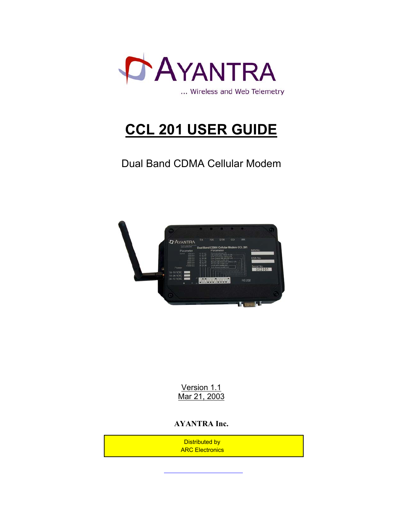

# **CCL 201 USER GUIDE**

Dual Band CDMA Cellular Modem



Version 1.1 Mar 21, 2003

#### **AYANTRA Inc.**

 Distributed by ARC Electronics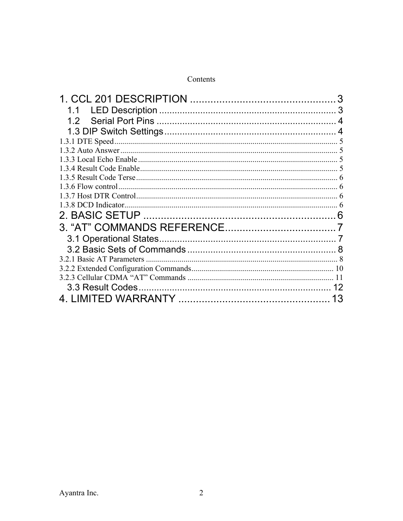| 1.1                  |    |
|----------------------|----|
| 1.2                  |    |
|                      |    |
|                      |    |
|                      |    |
|                      |    |
|                      |    |
|                      |    |
|                      |    |
|                      |    |
| 1.3.8 DCD Indicator. |    |
| $\mathcal{P}$        |    |
|                      |    |
|                      |    |
|                      |    |
|                      |    |
|                      |    |
|                      |    |
|                      |    |
|                      | 13 |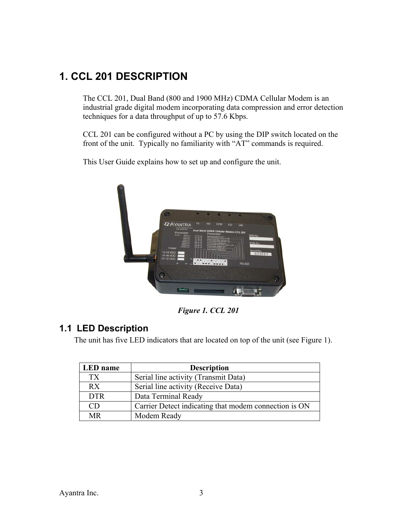# **1. CCL 201 DESCRIPTION**

The CCL 201, Dual Band (800 and 1900 MHz) CDMA Cellular Modem is an industrial grade digital modem incorporating data compression and error detection techniques for a data throughput of up to 57.6 Kbps.

CCL 201 can be configured without a PC by using the DIP switch located on the front of the unit. Typically no familiarity with "AT" commands is required.

This User Guide explains how to set up and configure the unit.



*Figure 1. CCL 201* 

### **1.1 LED Description**

The unit has five LED indicators that are located on top of the unit (see Figure 1).

| LED name   | <b>Description</b>                                    |
|------------|-------------------------------------------------------|
| TX         | Serial line activity (Transmit Data)                  |
| RX         | Serial line activity (Receive Data)                   |
| <b>DTR</b> | Data Terminal Ready                                   |
| CD         | Carrier Detect indicating that modem connection is ON |
| MR         | Modem Ready                                           |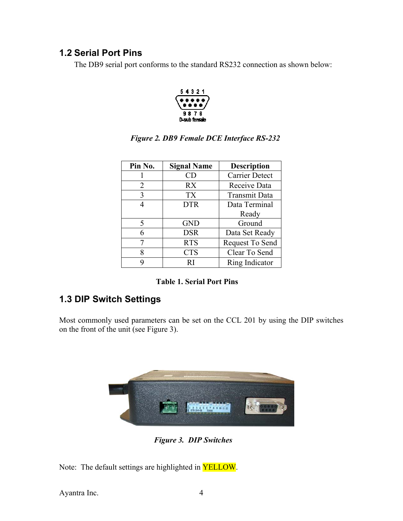### **1.2 Serial Port Pins**

The DB9 serial port conforms to the standard RS232 connection as shown below:



| Pin No. | <b>Signal Name</b> | <b>Description</b>    |
|---------|--------------------|-----------------------|
|         | CD                 | <b>Carrier Detect</b> |
| 2       | RX                 | Receive Data          |
| 3       | <b>TX</b>          | <b>Transmit Data</b>  |
| Δ       | <b>DTR</b>         | Data Terminal         |
|         |                    | Ready                 |
| 5       | <b>GND</b>         | Ground                |
| 6       | <b>DSR</b>         | Data Set Ready        |
|         | <b>RTS</b>         | Request To Send       |
| 8       | <b>CTS</b>         | Clear To Send         |
| Q       | RI                 | Ring Indicator        |

#### *Figure 2. DB9 Female DCE Interface RS-232*

|  | <b>Table 1. Serial Port Pins</b> |
|--|----------------------------------|
|--|----------------------------------|

### **1.3 DIP Switch Settings**

Most commonly used parameters can be set on the CCL 201 by using the DIP switches on the front of the unit (see Figure 3).



*Figure 3. DIP Switches*

Note: The default settings are highlighted in YELLOW.

Ayantra Inc. 4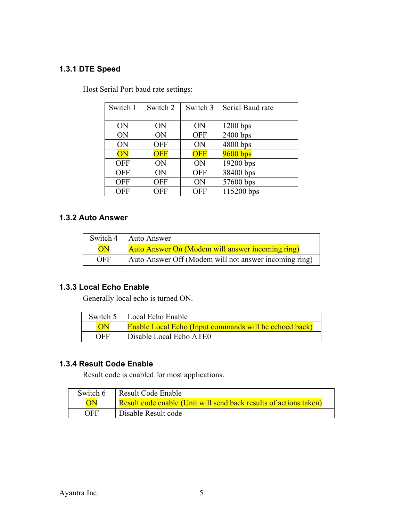#### **1.3.1 DTE Speed**

| Switch 1   | Switch 2   | Switch 3   | Serial Baud rate |
|------------|------------|------------|------------------|
|            |            |            |                  |
| ON         | ON         | ON         | $1200$ bps       |
| ON         | ON         | <b>OFF</b> | 2400 bps         |
| ON         | <b>OFF</b> | ON         | 4800 bps         |
| ON         | <b>OFF</b> | OFF        | 9600 bps         |
| <b>OFF</b> | ON         | ON         | 19200 bps        |
| <b>OFF</b> | ON         | <b>OFF</b> | 38400 bps        |
| <b>OFF</b> | <b>OFF</b> | ON         | 57600 bps        |
| <b>OFF</b> | <b>OFF</b> | <b>OFF</b> | 115200 bps       |

Host Serial Port baud rate settings:

#### **1.3.2 Auto Answer**

|            | Switch 4   Auto Answer                                |
|------------|-------------------------------------------------------|
| ON         | Auto Answer On (Modem will answer incoming ring)      |
| <b>OFF</b> | Auto Answer Off (Modem will not answer incoming ring) |

#### **1.3.3 Local Echo Enable**

Generally local echo is turned ON.

|     | Switch 5   Local Echo Enable                                  |
|-----|---------------------------------------------------------------|
|     | <b>Enable Local Echo (Input commands will be echoed back)</b> |
| OFF | Disable Local Echo ATEO                                       |

### **1.3.4 Result Code Enable**

Result code is enabled for most applications.

| Switch 6 | Result Code Enable                                                |
|----------|-------------------------------------------------------------------|
| ON       | Result code enable (Unit will send back results of actions taken) |
| OFF      | Disable Result code                                               |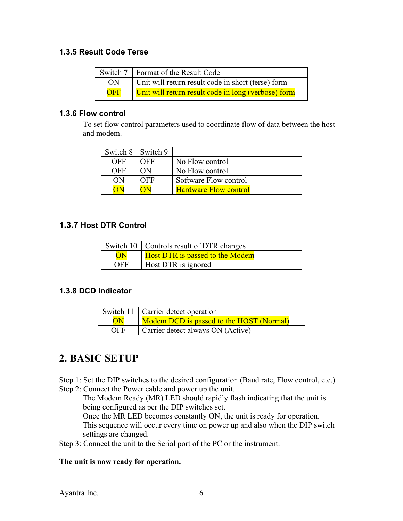#### **1.3.5 Result Code Terse**

|            | Switch 7   Format of the Result Code                |
|------------|-----------------------------------------------------|
| ON         | Unit will return result code in short (terse) form  |
| <b>OFF</b> | Unit will return result code in long (verbose) form |

#### **1.3.6 Flow control**

To set flow control parameters used to coordinate flow of data between the host and modem.

| Switch 8   Switch 9 |     |                              |
|---------------------|-----|------------------------------|
| OFF                 | OFF | No Flow control              |
| OFF                 | ON) | No Flow control              |
| (N)                 | OFF | Software Flow control        |
|                     |     | <b>Hardware Flow control</b> |

#### **1.3.7 Host DTR Control**

|                 | Switch 10   Controls result of DTR changes |
|-----------------|--------------------------------------------|
| $\overline{ON}$ | <b>Host DTR</b> is passed to the Modem     |
| <b>OFF</b>      | Host DTR is ignored                        |

#### **1.3.8 DCD Indicator**

|            | Switch 11   Carrier detect operation     |  |
|------------|------------------------------------------|--|
| ON         | Modem DCD is passed to the HOST (Normal) |  |
| <b>OFF</b> | Carrier detect always ON (Active)        |  |

## **2. BASIC SETUP**

Step 1: Set the DIP switches to the desired configuration (Baud rate, Flow control, etc.) Step 2: Connect the Power cable and power up the unit.

The Modem Ready (MR) LED should rapidly flash indicating that the unit is being configured as per the DIP switches set.

Once the MR LED becomes constantly ON, the unit is ready for operation. This sequence will occur every time on power up and also when the DIP switch settings are changed.

Step 3: Connect the unit to the Serial port of the PC or the instrument.

#### **The unit is now ready for operation.**

Ayantra Inc. 6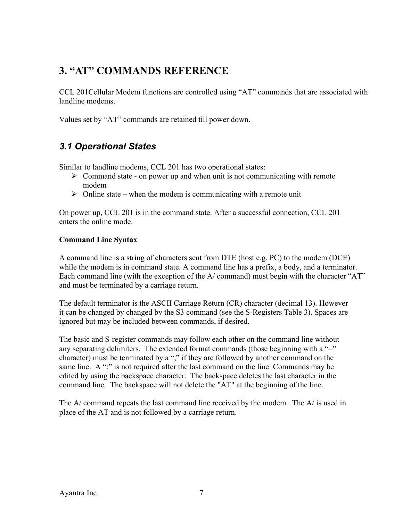# **3. "AT" COMMANDS REFERENCE**

CCL 201Cellular Modem functions are controlled using "AT" commands that are associated with landline modems.

Values set by "AT" commands are retained till power down.

### *3.1 Operational States*

Similar to landline modems, CCL 201 has two operational states:

- $\triangleright$  Command state on power up and when unit is not communicating with remote modem
- $\triangleright$  Online state when the modem is communicating with a remote unit

On power up, CCL 201 is in the command state. After a successful connection, CCL 201 enters the online mode.

#### **Command Line Syntax**

A command line is a string of characters sent from DTE (host e.g. PC) to the modem (DCE) while the modem is in command state. A command line has a prefix, a body, and a terminator. Each command line (with the exception of the A/ command) must begin with the character "AT" and must be terminated by a carriage return.

The default terminator is the ASCII Carriage Return (CR) character (decimal 13). However it can be changed by changed by the S3 command (see the S-Registers Table 3). Spaces are ignored but may be included between commands, if desired.

The basic and S-register commands may follow each other on the command line without any separating delimiters. The extended format commands (those beginning with a  $=$ " character) must be terminated by a "," if they are followed by another command on the same line. A ";" is not required after the last command on the line. Commands may be edited by using the backspace character. The backspace deletes the last character in the command line. The backspace will not delete the "AT" at the beginning of the line.

The A/ command repeats the last command line received by the modem. The A/ is used in place of the AT and is not followed by a carriage return.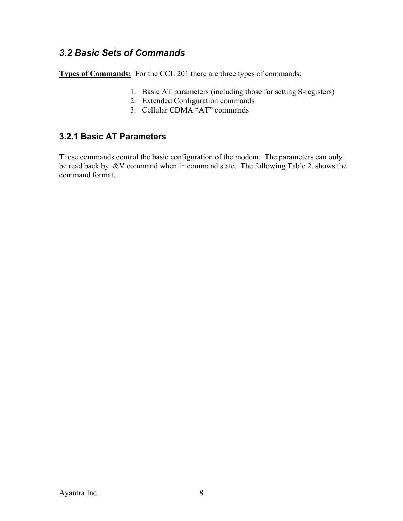### *3.2 Basic Sets of Commands*

**Types of Commands:** For the CCL 201 there are three types of commands:

- 1. Basic AT parameters (including those for setting S-registers)
- 2. Extended Configuration commands
- 3. Cellular CDMA "AT" commands

#### **3.2.1 Basic AT Parameters**

These commands control the basic configuration of the modem. The parameters can only be read back by &V command when in command state. The following Table 2. shows the command format.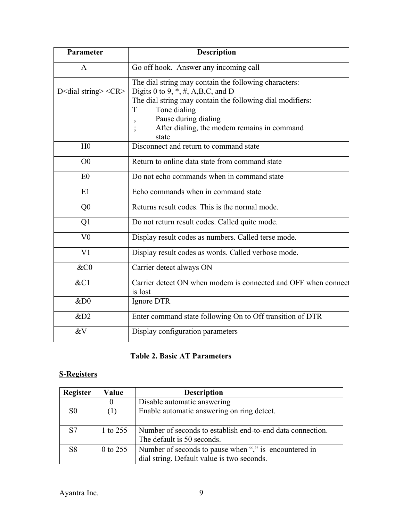| Parameter                                                 | <b>Description</b>                                                                              |  |  |
|-----------------------------------------------------------|-------------------------------------------------------------------------------------------------|--|--|
| A                                                         | Go off hook. Answer any incoming call                                                           |  |  |
| D <dial string=""> <math>\langle CR \rangle</math></dial> | The dial string may contain the following characters:<br>Digits 0 to 9, $^*, \#$ , A,B,C, and D |  |  |
|                                                           | The dial string may contain the following dial modifiers:                                       |  |  |
|                                                           | Tone dialing<br>T                                                                               |  |  |
|                                                           | Pause during dialing                                                                            |  |  |
|                                                           | After dialing, the modem remains in command<br>state                                            |  |  |
| H <sub>0</sub>                                            | Disconnect and return to command state                                                          |  |  |
| O <sub>0</sub>                                            | Return to online data state from command state                                                  |  |  |
| E <sub>0</sub>                                            | Do not echo commands when in command state                                                      |  |  |
| E1                                                        | Echo commands when in command state                                                             |  |  |
| Q <sub>0</sub>                                            | Returns result codes. This is the normal mode.                                                  |  |  |
| Q1                                                        | Do not return result codes. Called quite mode.                                                  |  |  |
| V <sub>0</sub>                                            | Display result codes as numbers. Called terse mode.                                             |  |  |
| V <sub>1</sub>                                            | Display result codes as words. Called verbose mode.                                             |  |  |
| &C0                                                       | Carrier detect always ON                                                                        |  |  |
| &C1                                                       | Carrier detect ON when modem is connected and OFF when connect<br>is lost                       |  |  |
| ⅅ                                                         | Ignore DTR                                                                                      |  |  |
| &D2                                                       | Enter command state following On to Off transition of DTR                                       |  |  |
| &V                                                        | Display configuration parameters                                                                |  |  |

### **Table 2. Basic AT Parameters**

### **S-Registers**

| <b>Register</b>       | Value    | <b>Description</b>                                         |  |
|-----------------------|----------|------------------------------------------------------------|--|
|                       |          | Disable automatic answering                                |  |
| S <sub>0</sub><br>(1) |          | Enable automatic answering on ring detect.                 |  |
|                       |          |                                                            |  |
| S <sub>7</sub>        | 1 to 255 | Number of seconds to establish end-to-end data connection. |  |
|                       |          | The default is 50 seconds.                                 |  |
| S <sub>8</sub>        | 0 to 255 | Number of seconds to pause when "", is encountered in      |  |
|                       |          | dial string. Default value is two seconds.                 |  |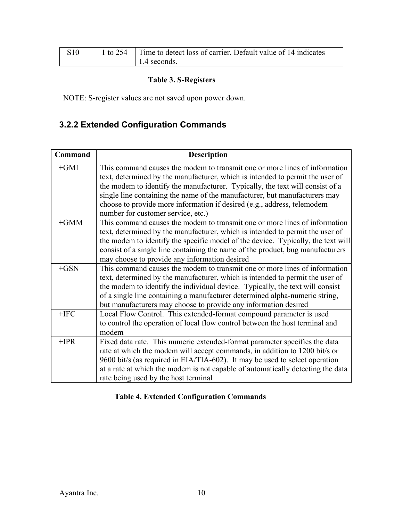| S10 | 1 to 254   Time to detect loss of carrier. Default value of 14 indicates |
|-----|--------------------------------------------------------------------------|
|     | $\vert$ 1.4 seconds.                                                     |

#### **Table 3. S-Registers**

NOTE: S-register values are not saved upon power down.

# **3.2.2 Extended Configuration Commands**

| Command | <b>Description</b>                                                                                                                                          |
|---------|-------------------------------------------------------------------------------------------------------------------------------------------------------------|
| $+GMI$  | This command causes the modem to transmit one or more lines of information<br>text, determined by the manufacturer, which is intended to permit the user of |
|         | the modem to identify the manufacturer. Typically, the text will consist of a<br>single line containing the name of the manufacturer, but manufacturers may |
|         | choose to provide more information if desired (e.g., address, telemodem                                                                                     |
|         | number for customer service, etc.)                                                                                                                          |
| $+GMM$  | This command causes the modem to transmit one or more lines of information                                                                                  |
|         | text, determined by the manufacturer, which is intended to permit the user of                                                                               |
|         | the modem to identify the specific model of the device. Typically, the text will                                                                            |
|         | consist of a single line containing the name of the product, bug manufacturers                                                                              |
|         | may choose to provide any information desired                                                                                                               |
| $+GSN$  | This command causes the modem to transmit one or more lines of information                                                                                  |
|         | text, determined by the manufacturer, which is intended to permit the user of                                                                               |
|         | the modem to identify the individual device. Typically, the text will consist                                                                               |
|         | of a single line containing a manufacturer determined alpha-numeric string,                                                                                 |
|         | but manufacturers may choose to provide any information desired                                                                                             |
| $+IFC$  | Local Flow Control. This extended-format compound parameter is used                                                                                         |
|         | to control the operation of local flow control between the host terminal and                                                                                |
|         | modem                                                                                                                                                       |
| $+IPR$  | Fixed data rate. This numeric extended-format parameter specifies the data                                                                                  |
|         | rate at which the modem will accept commands, in addition to 1200 bit/s or                                                                                  |
|         | 9600 bit/s (as required in EIA/TIA-602). It may be used to select operation                                                                                 |
|         | at a rate at which the modem is not capable of automatically detecting the data                                                                             |
|         | rate being used by the host terminal                                                                                                                        |

# **Table 4. Extended Configuration Commands**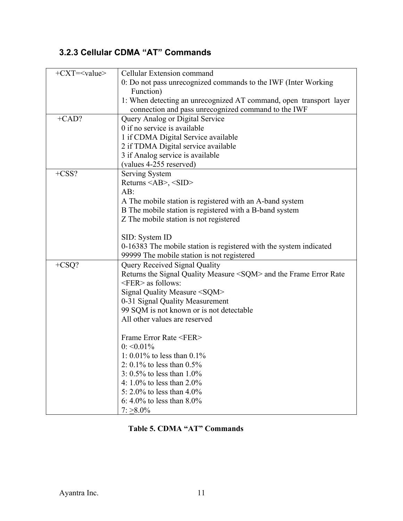# **3.2.3 Cellular CDMA "AT" Commands**

| $+{\rm CXT}$ = <value></value> | Cellular Extension command                                              |  |  |  |
|--------------------------------|-------------------------------------------------------------------------|--|--|--|
|                                | 0: Do not pass unrecognized commands to the IWF (Inter Working          |  |  |  |
|                                | Function)                                                               |  |  |  |
|                                | 1: When detecting an unrecognized AT command, open transport layer      |  |  |  |
|                                | connection and pass unrecognized command to the IWF                     |  |  |  |
| $+CAD?$                        | Query Analog or Digital Service                                         |  |  |  |
|                                | 0 if no service is available                                            |  |  |  |
|                                | 1 if CDMA Digital Service available                                     |  |  |  |
|                                | 2 if TDMA Digital service available                                     |  |  |  |
|                                | 3 if Analog service is available                                        |  |  |  |
|                                | (values 4-255 reserved)                                                 |  |  |  |
| $+CSS?$                        | Serving System                                                          |  |  |  |
|                                | Returns $\langle AB \rangle$ , $\langle SID \rangle$                    |  |  |  |
|                                | $AB$ :                                                                  |  |  |  |
|                                | A The mobile station is registered with an A-band system                |  |  |  |
|                                | B The mobile station is registered with a B-band system                 |  |  |  |
|                                | Z The mobile station is not registered                                  |  |  |  |
|                                |                                                                         |  |  |  |
|                                | SID: System ID                                                          |  |  |  |
|                                | 0-16383 The mobile station is registered with the system indicated      |  |  |  |
|                                | 99999 The mobile station is not registered                              |  |  |  |
| $+CSQ?$                        | Query Received Signal Quality                                           |  |  |  |
|                                | Returns the Signal Quality Measure <sqm> and the Frame Error Rate</sqm> |  |  |  |
|                                | $\leq$ FER $>$ as follows:                                              |  |  |  |
|                                | Signal Quality Measure <sqm></sqm>                                      |  |  |  |
|                                | 0-31 Signal Quality Measurement                                         |  |  |  |
|                                | 99 SQM is not known or is not detectable                                |  |  |  |
|                                | All other values are reserved                                           |  |  |  |
|                                |                                                                         |  |  |  |
|                                | Frame Error Rate <fer></fer>                                            |  |  |  |
|                                | $0: \le 0.01\%$                                                         |  |  |  |
|                                | 1: 0.01% to less than $0.1\%$                                           |  |  |  |
|                                | 2: 0.1% to less than $0.5\%$                                            |  |  |  |
|                                | 3: $0.5\%$ to less than 1.0%                                            |  |  |  |
|                                | 4: $1.0\%$ to less than 2.0%                                            |  |  |  |
|                                | 5: 2.0% to less than $4.0\%$                                            |  |  |  |
|                                | 6: 4.0% to less than $8.0\%$                                            |  |  |  |
|                                | $7: \geq 8.0\%$                                                         |  |  |  |

 **Table 5. CDMA "AT" Commands**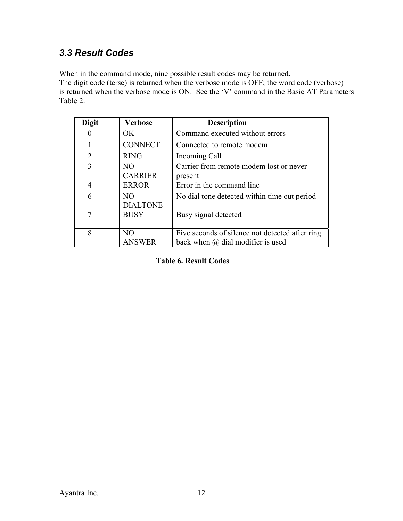### *3.3 Result Codes*

When in the command mode, nine possible result codes may be returned. The digit code (terse) is returned when the verbose mode is OFF; the word code (verbose) is returned when the verbose mode is ON. See the 'V' command in the Basic AT Parameters Table 2.

| <b>Digit</b>   | <b>Verbose</b>         | <b>Description</b>                                 |
|----------------|------------------------|----------------------------------------------------|
|                | OK.                    | Command executed without errors                    |
|                | <b>CONNECT</b>         | Connected to remote modem                          |
| $\overline{2}$ | <b>RING</b>            | Incoming Call                                      |
| 3              | NO<br><b>CARRIER</b>   | Carrier from remote modem lost or never<br>present |
| 4              | <b>ERROR</b>           | Error in the command line                          |
| 6              | NO.<br><b>DIALTONE</b> | No dial tone detected within time out period       |
| 7              | <b>BUSY</b>            | Busy signal detected                               |
| 8              | NO                     | Five seconds of silence not detected after ring    |
|                | <b>ANSWER</b>          | back when $(a)$ dial modifier is used              |

 **Table 6. Result Codes**